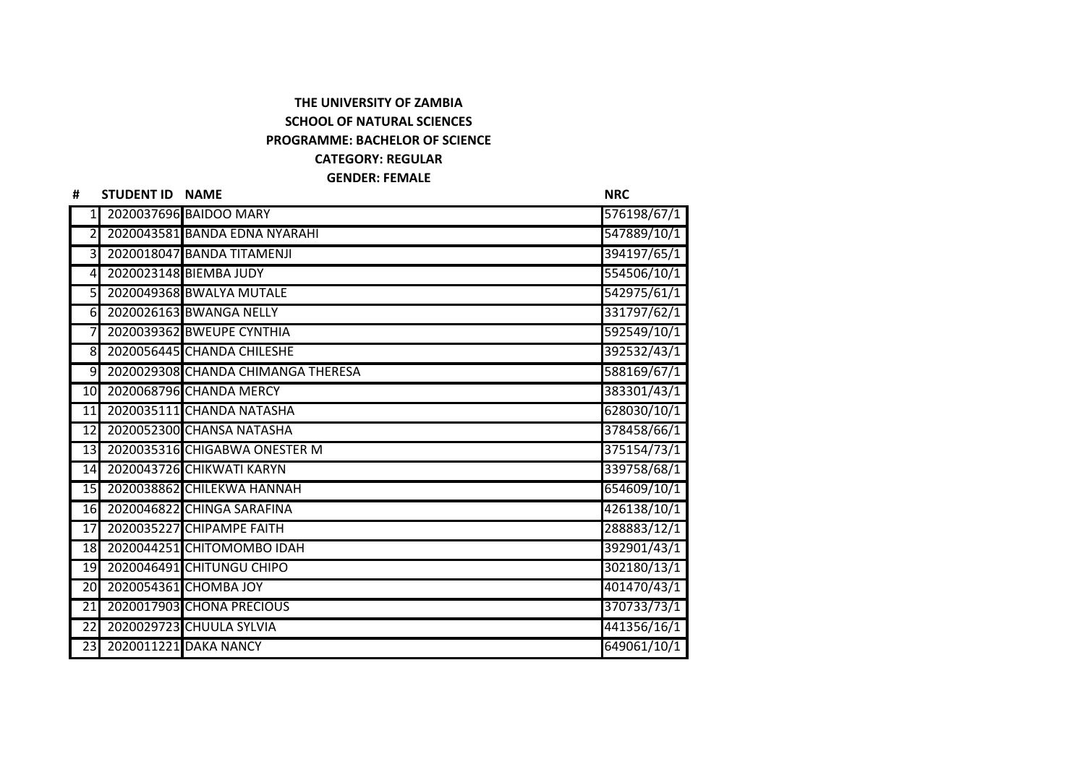## **THE UNIVERSITY OF ZAMBIA SCHOOL OF NATURAL SCIENCES PROGRAMME: BACHELOR OF SCIENCE CATEGORY: REGULAR GENDER: FEMALE**

| #               | STUDENT ID NAME          |                                    | <b>NRC</b>  |
|-----------------|--------------------------|------------------------------------|-------------|
|                 |                          | 2020037696 BAIDOO MARY             | 576198/67/1 |
| $\overline{2}$  |                          | 2020043581 BANDA EDNA NYARAHI      | 547889/10/1 |
| $\overline{3}$  |                          | 2020018047 BANDA TITAMENJI         | 394197/65/1 |
| $\overline{4}$  |                          | 2020023148 BIEMBA JUDY             | 554506/10/1 |
| 5 <sub>l</sub>  |                          | 2020049368 BWALYA MUTALE           | 542975/61/1 |
| 61              |                          | 2020026163 BWANGA NELLY            | 331797/62/1 |
| 7               |                          | 2020039362 BWEUPE CYNTHIA          | 592549/10/1 |
| 8 <sup>l</sup>  |                          | 2020056445 CHANDA CHILESHE         | 392532/43/1 |
| 9               |                          | 2020029308 CHANDA CHIMANGA THERESA | 588169/67/1 |
| 10              |                          | 2020068796 CHANDA MERCY            | 383301/43/1 |
| 11              |                          | 2020035111 CHANDA NATASHA          | 628030/10/1 |
| 12              |                          | 2020052300 CHANSA NATASHA          | 378458/66/1 |
| 13              |                          | 2020035316 CHIGABWA ONESTER M      | 375154/73/1 |
| 14              |                          | 2020043726 CHIKWATI KARYN          | 339758/68/1 |
| 15              |                          | 2020038862 CHILEKWA HANNAH         | 654609/10/1 |
| 16              |                          | 2020046822 CHINGA SARAFINA         | 426138/10/1 |
| 17              |                          | 2020035227 CHIPAMPE FAITH          | 288883/12/1 |
| 18              |                          | 2020044251 CHITOMOMBO IDAH         | 392901/43/1 |
| 19              |                          | 2020046491 CHITUNGU CHIPO          | 302180/13/1 |
| 20              |                          | 2020054361 CHOMBA JOY              | 401470/43/1 |
| $\overline{21}$ |                          | 2020017903 CHONA PRECIOUS          | 370733/73/1 |
| $\overline{22}$ |                          | 2020029723 CHUULA SYLVIA           | 441356/16/1 |
|                 | 23 2020011221 DAKA NANCY |                                    | 649061/10/1 |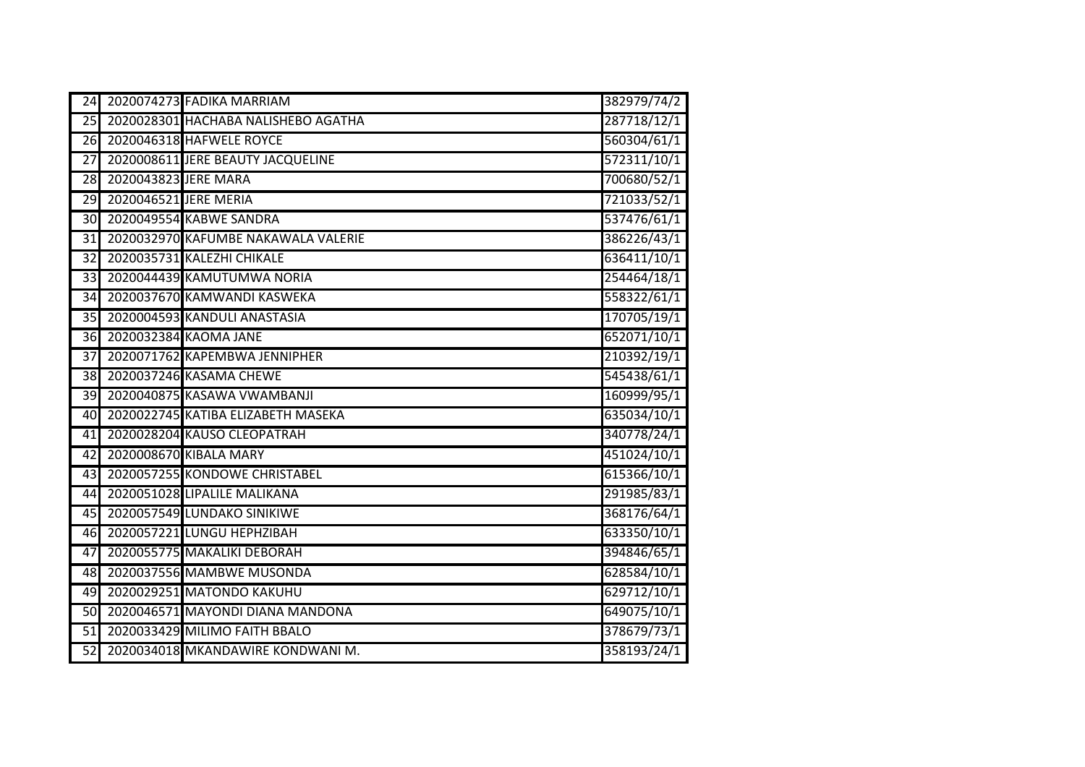| 24              |                       | 2020074273 FADIKA MARRIAM           | 382979/74/2 |
|-----------------|-----------------------|-------------------------------------|-------------|
| 25              |                       | 2020028301 HACHABA NALISHEBO AGATHA | 287718/12/1 |
| 26              |                       | 2020046318 HAFWELE ROYCE            | 560304/61/1 |
| 27              |                       | 2020008611 JERE BEAUTY JACQUELINE   | 572311/10/1 |
| 28              | 2020043823 JERE MARA  |                                     | 700680/52/1 |
| $\overline{29}$ | 2020046521 JERE MERIA |                                     | 721033/52/1 |
| 30 <sup>l</sup> |                       | 2020049554 KABWE SANDRA             | 537476/61/1 |
| $\overline{31}$ |                       | 2020032970 KAFUMBE NAKAWALA VALERIE | 386226/43/1 |
| $\overline{32}$ |                       | 2020035731 KALEZHI CHIKALE          | 636411/10/1 |
| $\overline{33}$ |                       | 2020044439 KAMUTUMWA NORIA          | 254464/18/1 |
| 34              |                       | 2020037670 KAMWANDI KASWEKA         | 558322/61/1 |
|                 |                       | 35 2020004593 KANDULI ANASTASIA     | 170705/19/1 |
| 36              |                       | 2020032384 KAOMA JANE               | 652071/10/1 |
| 37              |                       | 2020071762 KAPEMBWA JENNIPHER       | 210392/19/1 |
| 38              |                       | 2020037246 KASAMA CHEWE             | 545438/61/1 |
| 39              |                       | 2020040875 KASAWA VWAMBANJI         | 160999/95/1 |
| 40              |                       | 2020022745 KATIBA ELIZABETH MASEKA  | 635034/10/1 |
| 41              |                       | 2020028204 KAUSO CLEOPATRAH         | 340778/24/1 |
| $\overline{42}$ |                       | 2020008670 KIBALA MARY              | 451024/10/1 |
| 43              |                       | 2020057255 KONDOWE CHRISTABEL       | 615366/10/1 |
| 44              |                       | 2020051028 LIPALILE MALIKANA        | 291985/83/1 |
| $\overline{45}$ |                       | 2020057549 LUNDAKO SINIKIWE         | 368176/64/1 |
|                 |                       | 46 2020057221 LUNGU HEPHZIBAH       | 633350/10/1 |
| 47              |                       | 2020055775 MAKALIKI DEBORAH         | 394846/65/1 |
| 48              |                       | 2020037556 MAMBWE MUSONDA           | 628584/10/1 |
| 49              |                       | 2020029251 MATONDO KAKUHU           | 629712/10/1 |
| $\overline{50}$ |                       | 2020046571 MAYONDI DIANA MANDONA    | 649075/10/1 |
| $\overline{51}$ |                       | 2020033429 MILIMO FAITH BBALO       | 378679/73/1 |
| 52              |                       | 2020034018 MKANDAWIRE KONDWANI M.   | 358193/24/1 |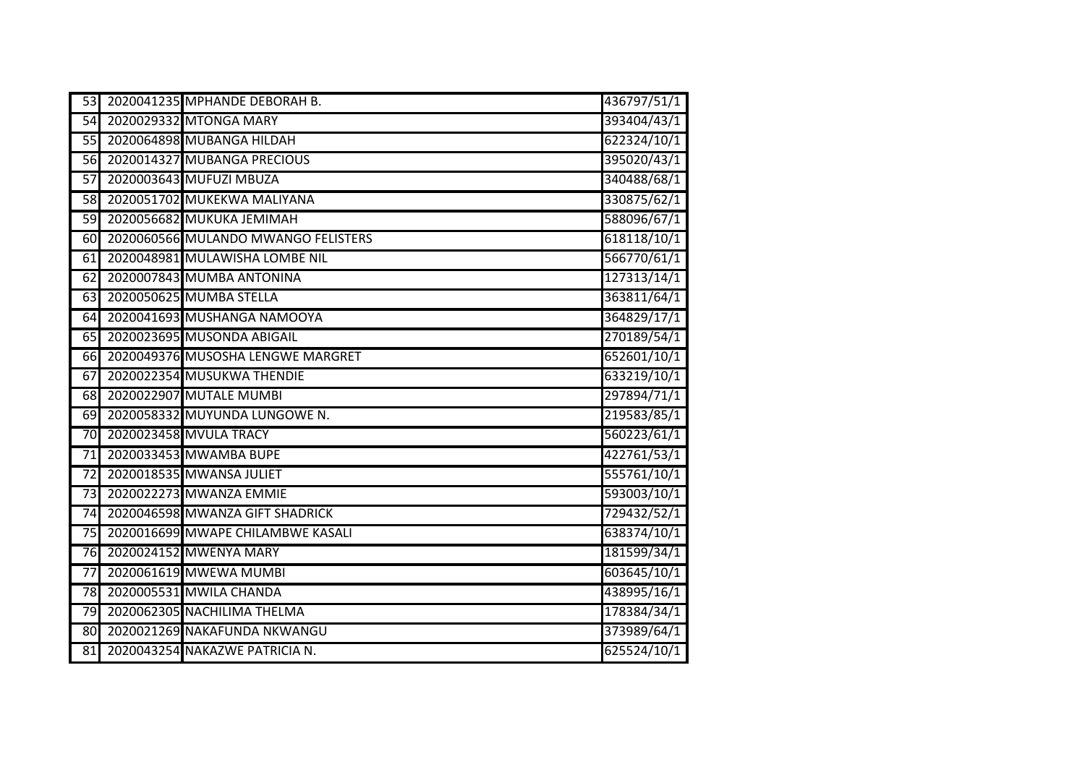| 53              | 2020041235 MPHANDE DEBORAH B.        | 436797/51/1 |
|-----------------|--------------------------------------|-------------|
| $\overline{54}$ | 2020029332 MTONGA MARY               | 393404/43/1 |
| 55              | 2020064898 MUBANGA HILDAH            | 622324/10/1 |
| 56              | 2020014327 MUBANGA PRECIOUS          | 395020/43/1 |
| $\overline{57}$ | 2020003643 MUFUZI MBUZA              | 340488/68/1 |
| 58              | 2020051702 MUKEKWA MALIYANA          | 330875/62/1 |
| <b>59</b>       | 2020056682 MUKUKA JEMIMAH            | 588096/67/1 |
| 60              | 2020060566 MULANDO MWANGO FELISTERS  | 618118/10/1 |
| 61              | 2020048981 MULAWISHA LOMBE NIL       | 566770/61/1 |
| 62              | 2020007843 MUMBA ANTONINA            | 127313/14/1 |
| 63              | 2020050625 MUMBA STELLA              | 363811/64/1 |
|                 | 64 2020041693 MUSHANGA NAMOOYA       | 364829/17/1 |
| 65              | 2020023695 MUSONDA ABIGAIL           | 270189/54/1 |
|                 | 66 2020049376 MUSOSHA LENGWE MARGRET | 652601/10/1 |
| 67              | 2020022354 MUSUKWA THENDIE           | 633219/10/1 |
| 68              | 2020022907 MUTALE MUMBI              | 297894/71/1 |
| 69              | 2020058332 MUYUNDA LUNGOWE N.        | 219583/85/1 |
| 70              | 2020023458 MVULA TRACY               | 560223/61/1 |
|                 | 71 2020033453 MWAMBA BUPE            | 422761/53/1 |
| 72              | 2020018535 MWANSA JULIET             | 555761/10/1 |
|                 | 73 2020022273 MWANZA EMMIE           | 593003/10/1 |
| 74              | 2020046598 MWANZA GIFT SHADRICK      | 729432/52/1 |
| 75              | 2020016699 MWAPE CHILAMBWE KASALI    | 638374/10/1 |
| 76              | 2020024152 MWENYA MARY               | 181599/34/1 |
| 77              | 2020061619 MWEWA MUMBI               | 603645/10/1 |
|                 | 78 2020005531 MWILA CHANDA           | 438995/16/1 |
| $\overline{79}$ | 2020062305 NACHILIMA THELMA          | 178384/34/1 |
| 80              | 2020021269 NAKAFUNDA NKWANGU         | 373989/64/1 |
| 81              | 2020043254 NAKAZWE PATRICIA N.       | 625524/10/1 |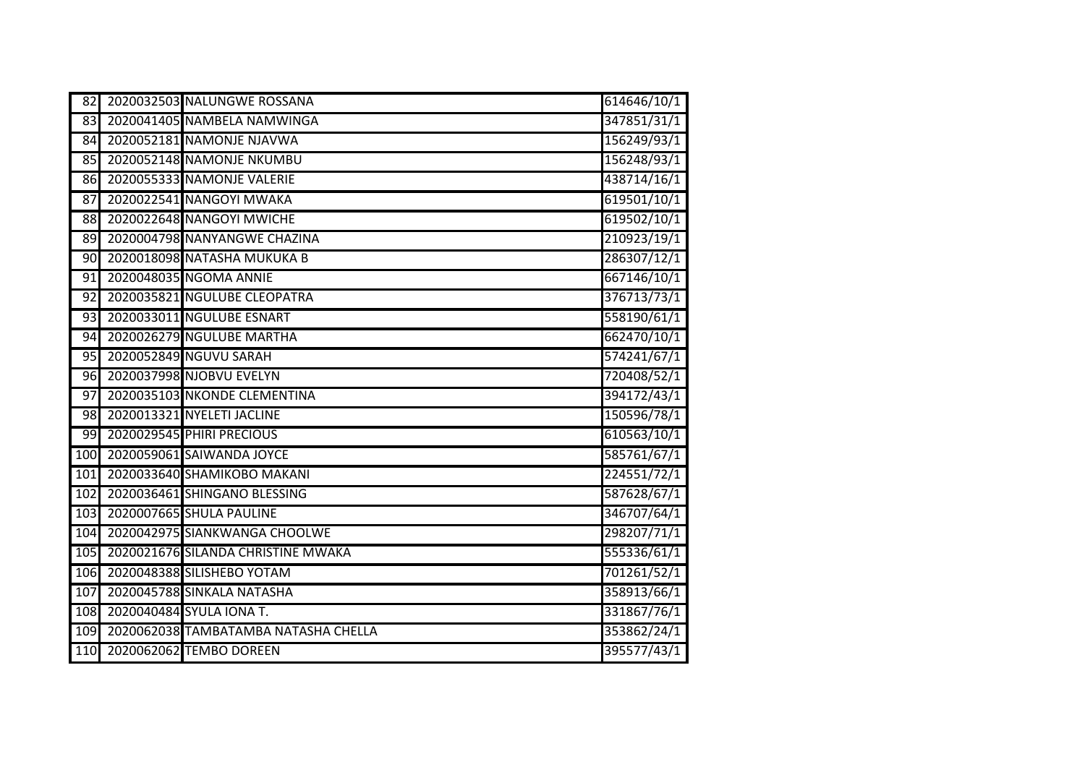| 82              | 2020032503 NALUNGWE ROSSANA              | 614646/10/1 |
|-----------------|------------------------------------------|-------------|
| 83              | 2020041405 NAMBELA NAMWINGA              | 347851/31/1 |
| $\overline{84}$ | 2020052181 NAMONJE NJAVWA                | 156249/93/1 |
| 85              | 2020052148 NAMONJE NKUMBU                | 156248/93/1 |
|                 | 86 2020055333 NAMONJE VALERIE            | 438714/16/1 |
| 87              | 2020022541 NANGOYI MWAKA                 | 619501/10/1 |
| 88              | 2020022648 NANGOYI MWICHE                | 619502/10/1 |
| 89              | 2020004798 NANYANGWE CHAZINA             | 210923/19/1 |
| 90              | 2020018098 NATASHA MUKUKA B              | 286307/12/1 |
| 91              | 2020048035 NGOMA ANNIE                   | 667146/10/1 |
| 92              | 2020035821 NGULUBE CLEOPATRA             | 376713/73/1 |
|                 | 93 2020033011 NGULUBE ESNART             | 558190/61/1 |
| 94              | 2020026279 NGULUBE MARTHA                | 662470/10/1 |
| 95              | 2020052849 NGUVU SARAH                   | 574241/67/1 |
| 96              | 2020037998 NJOBVU EVELYN                 | 720408/52/1 |
| 97              | 2020035103 NKONDE CLEMENTINA             | 394172/43/1 |
| 98              | 2020013321 NYELETI JACLINE               | 150596/78/1 |
| 99              | 2020029545 PHIRI PRECIOUS                | 610563/10/1 |
|                 | 100 2020059061 SAIWANDA JOYCE            | 585761/67/1 |
| 101             | 2020033640 SHAMIKOBO MAKANI              | 224551/72/1 |
| 102             | 2020036461 SHINGANO BLESSING             | 587628/67/1 |
| 103             | 2020007665 SHULA PAULINE                 | 346707/64/1 |
| 104             | 2020042975 SIANKWANGA CHOOLWE            | 298207/71/1 |
|                 | 105 2020021676 SILANDA CHRISTINE MWAKA   | 555336/61/1 |
|                 | 106 2020048388 SILISHEBO YOTAM           | 701261/52/1 |
| 107             | 2020045788 SINKALA NATASHA               | 358913/66/1 |
| 108             | 2020040484 SYULA IONA T.                 | 331867/76/1 |
|                 | 109 2020062038 TAMBATAMBA NATASHA CHELLA | 353862/24/1 |
| 110             | 2020062062 TEMBO DOREEN                  | 395577/43/1 |